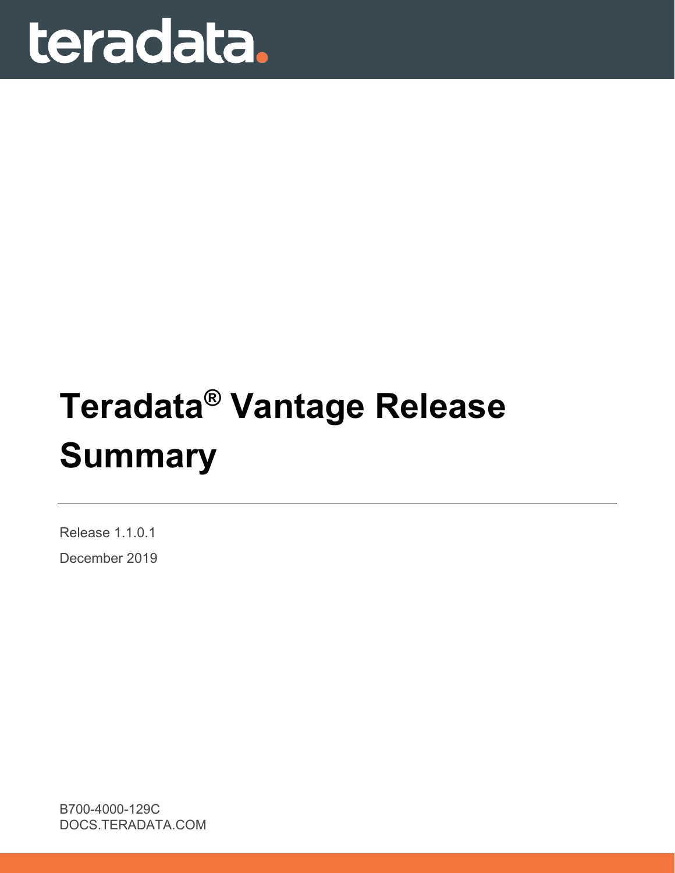

# **Teradata® Vantage Release Summary**

Release 1.1.0.1

December 2019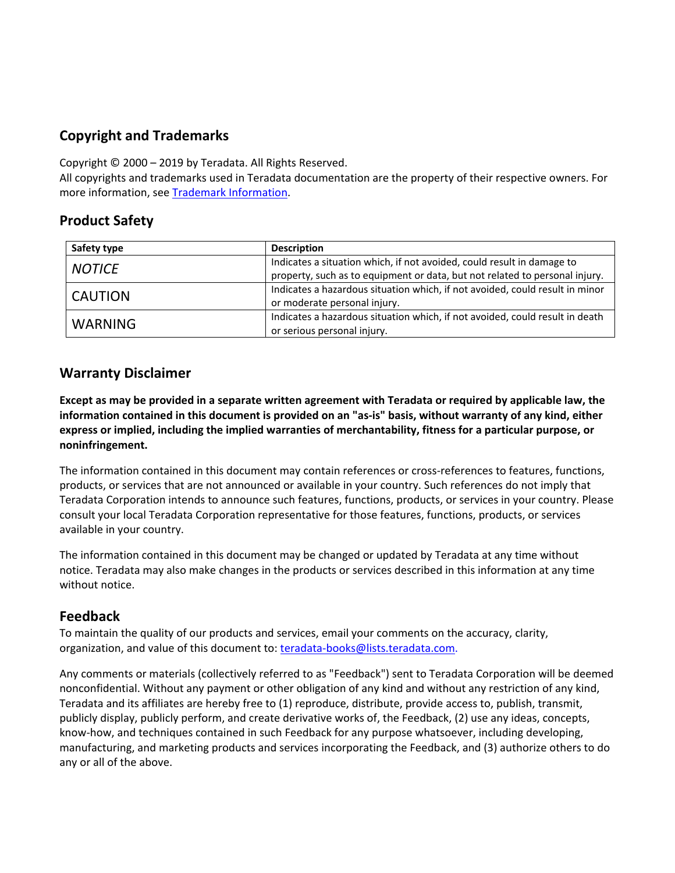# **Copyright and Trademarks**

Copyright © 2000 – 2019 by Teradata. All Rights Reserved.

All copyrights and trademarks used in Teradata documentation are the property of their respective owners. For more information, see [Trademark Information.](https://sso.teradata.com/oam/?goto=https%3A%2F%2Finfo.teradata.com%2Fdownload.cfm%3FItemID%3D1016375)

# **Product Safety**

| Safety type    | <b>Description</b>                                                           |
|----------------|------------------------------------------------------------------------------|
| <b>NOTICE</b>  | Indicates a situation which, if not avoided, could result in damage to       |
|                | property, such as to equipment or data, but not related to personal injury.  |
| l CAUTION      | Indicates a hazardous situation which, if not avoided, could result in minor |
|                | or moderate personal injury.                                                 |
| <b>WARNING</b> | Indicates a hazardous situation which, if not avoided, could result in death |
|                | or serious personal injury.                                                  |

## **Warranty Disclaimer**

**Except as may be provided in a separate written agreement with Teradata or required by applicable law, the information contained in this document is provided on an "as-is" basis, without warranty of any kind, either express or implied, including the implied warranties of merchantability, fitness for a particular purpose, or noninfringement.**

The information contained in this document may contain references or cross-references to features, functions, products, or services that are not announced or available in your country. Such references do not imply that Teradata Corporation intends to announce such features, functions, products, or services in your country. Please consult your local Teradata Corporation representative for those features, functions, products, or services available in your country.

The information contained in this document may be changed or updated by Teradata at any time without notice. Teradata may also make changes in the products or services described in this information at any time without notice.

# **Feedback**

To maintain the quality of our products and services, email your comments on the accuracy, clarity, organization, and value of this document to: [teradata-books@lists.teradata.com.](mailto:teradata-books@lists.teradata.com)

Any comments or materials (collectively referred to as "Feedback") sent to Teradata Corporation will be deemed nonconfidential. Without any payment or other obligation of any kind and without any restriction of any kind, Teradata and its affiliates are hereby free to (1) reproduce, distribute, provide access to, publish, transmit, publicly display, publicly perform, and create derivative works of, the Feedback, (2) use any ideas, concepts, know-how, and techniques contained in such Feedback for any purpose whatsoever, including developing, manufacturing, and marketing products and services incorporating the Feedback, and (3) authorize others to do any or all of the above.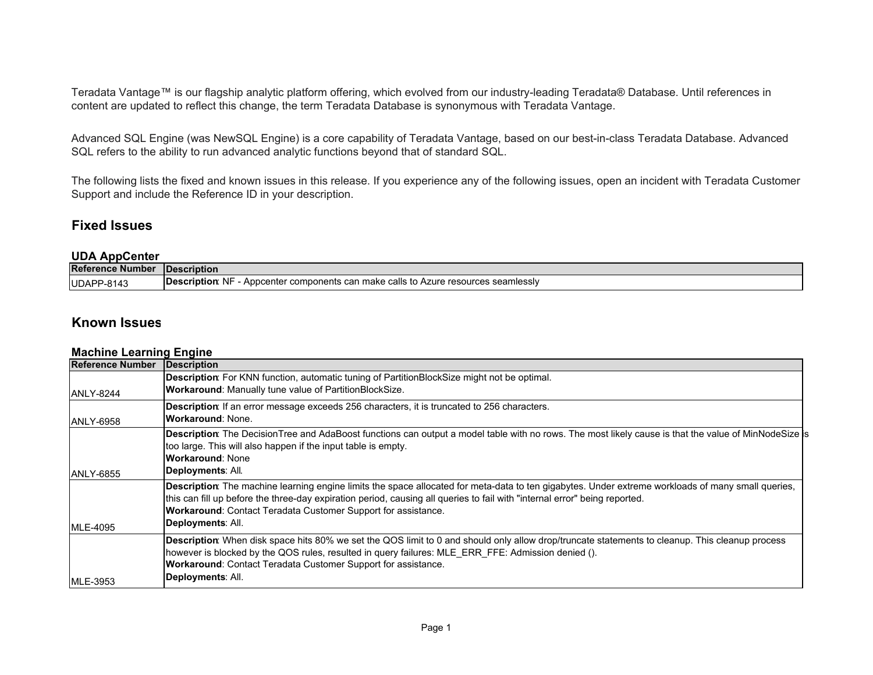Teradata Vantage™ is our flagship analytic platform offering, which evolved from our industry-leading Teradata® Database. Until references in content are updated to reflect this change, the term Teradata Database is synonymous with Teradata Vantage.

Advanced SQL Engine (was NewSQL Engine) is a core capability of Teradata Vantage, based on our best-in-class Teradata Database. Advanced SQL refers to the ability to run advanced analytic functions beyond that of standard SQL.

The following lists the fixed and known issues in this release. If you experience any of the following issues, open an incident with Teradata Customer Support and include the Reference ID in your description.

#### **Fixed Issues**

#### **UDA AppCenter**

| <b>Reference Number</b> | <b>IDescription</b>                                                                                               |
|-------------------------|-------------------------------------------------------------------------------------------------------------------|
| UDAPP-8143              | r components can make ∈<br><b>IDescription</b> :<br>seamlessiv<br>Appcenter<br>Νŀ<br>: calls to Azure resources : |

## **Known Issues**

#### **Machine Learning Engine**

| Reference Number  | Description                                                                                                                                                                                                                                                                      |
|-------------------|----------------------------------------------------------------------------------------------------------------------------------------------------------------------------------------------------------------------------------------------------------------------------------|
|                   | Description: For KNN function, automatic tuning of PartitionBlockSize might not be optimal.                                                                                                                                                                                      |
| IANLY-8244        | <b>Workaround: Manually tune value of PartitionBlockSize.</b>                                                                                                                                                                                                                    |
|                   | <b>Description:</b> If an error message exceeds 256 characters, it is truncated to 256 characters.                                                                                                                                                                               |
| <b>JANLY-6958</b> | <b>Workaround: None.</b>                                                                                                                                                                                                                                                         |
|                   | Description: The DecisionTree and AdaBoost functions can output a model table with no rows. The most likely cause is that the value of MinNodeSize is<br>too large. This will also happen if the input table is empty.                                                           |
|                   | <b>Workaround: None</b>                                                                                                                                                                                                                                                          |
| <b>JANLY-6855</b> | Deployments: All.                                                                                                                                                                                                                                                                |
|                   | Description: The machine learning engine limits the space allocated for meta-data to ten gigabytes. Under extreme workloads of many small queries,<br>this can fill up before the three-day expiration period, causing all queries to fail with "internal error" being reported. |
|                   | <b>Workaround: Contact Teradata Customer Support for assistance.</b>                                                                                                                                                                                                             |
| <b>MLE-4095</b>   | Deployments: All.                                                                                                                                                                                                                                                                |
|                   | Description: When disk space hits 80% we set the QOS limit to 0 and should only allow drop/truncate statements to cleanup. This cleanup process<br>however is blocked by the QOS rules, resulted in query failures: MLE ERR FFE: Admission denied ().                            |
|                   | <b>Workaround: Contact Teradata Customer Support for assistance.</b>                                                                                                                                                                                                             |
| MLE-3953          | Deployments: All.                                                                                                                                                                                                                                                                |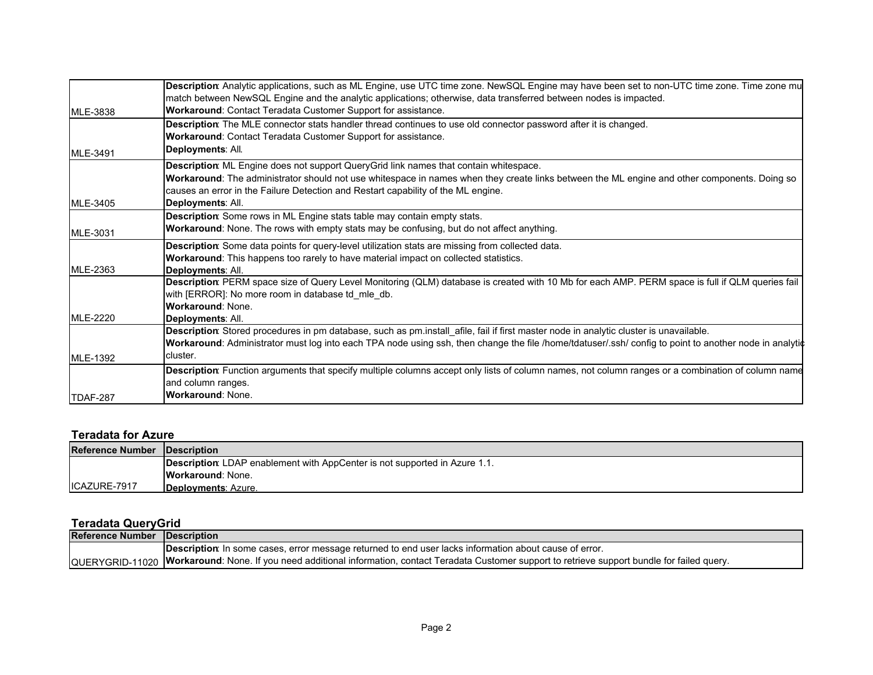|                 | Description: Analytic applications, such as ML Engine, use UTC time zone. NewSQL Engine may have been set to non-UTC time zone. Time zone mu           |
|-----------------|--------------------------------------------------------------------------------------------------------------------------------------------------------|
|                 | match between NewSQL Engine and the analytic applications; otherwise, data transferred between nodes is impacted.                                      |
| MLE-3838        | Workaround: Contact Teradata Customer Support for assistance.                                                                                          |
|                 | Description: The MLE connector stats handler thread continues to use old connector password after it is changed.                                       |
|                 | Workaround: Contact Teradata Customer Support for assistance.                                                                                          |
| MLE-3491        | Deployments: All.                                                                                                                                      |
|                 | Description: ML Engine does not support QueryGrid link names that contain whitespace.                                                                  |
|                 | Workaround: The administrator should not use whitespace in names when they create links between the ML engine and other components. Doing so           |
|                 | causes an error in the Failure Detection and Restart capability of the ML engine.                                                                      |
| MLE-3405        | Deployments: All.                                                                                                                                      |
|                 | Description: Some rows in ML Engine stats table may contain empty stats.                                                                               |
| MLE-3031        | <b>Workaround:</b> None. The rows with empty stats may be confusing, but do not affect anything.                                                       |
|                 | Description: Some data points for query-level utilization stats are missing from collected data.                                                       |
|                 | Workaround: This happens too rarely to have material impact on collected statistics.                                                                   |
| MLE-2363        | Deployments: All.                                                                                                                                      |
|                 | Description: PERM space size of Query Level Monitoring (QLM) database is created with 10 Mb for each AMP. PERM space is full if QLM queries fail       |
|                 | with [ERROR]: No more room in database td mle db.                                                                                                      |
|                 | <b>Workaround: None.</b>                                                                                                                               |
| MLE-2220        | Deplovments: All.                                                                                                                                      |
|                 | Description: Stored procedures in pm database, such as pm.install_afile, fail if first master node in analytic cluster is unavailable.                 |
|                 | Workaround: Administrator must log into each TPA node using ssh, then change the file /home/tdatuser/.ssh/ config to point to another node in analytic |
| <b>MLE-1392</b> | cluster.                                                                                                                                               |
|                 | Description: Function arguments that specify multiple columns accept only lists of column names, not column ranges or a combination of column name     |
|                 | and column ranges.                                                                                                                                     |
| TDAF-287        | <b>Workaround: None.</b>                                                                                                                               |

#### **Teradata for Azure**

| <b>Reference Number Description</b> |                                                                                    |
|-------------------------------------|------------------------------------------------------------------------------------|
|                                     | <b>Description</b> : LDAP enablement with AppCenter is not supported in Azure 1.1. |
|                                     | <b>Workaround: None.</b>                                                           |
| ICAZURE-7917                        | Deployments: Azure.                                                                |

## **Teradata QueryGrid**

| <b>Reference Number Description</b> |                                                                                                                                                       |
|-------------------------------------|-------------------------------------------------------------------------------------------------------------------------------------------------------|
|                                     | <b>Description</b> : In some cases, error message returned to end user lacks information about cause of error.                                        |
|                                     | QUERYGRID-11020  Workaround: None. If you need additional information, contact Teradata Customer support to retrieve support bundle for failed query. |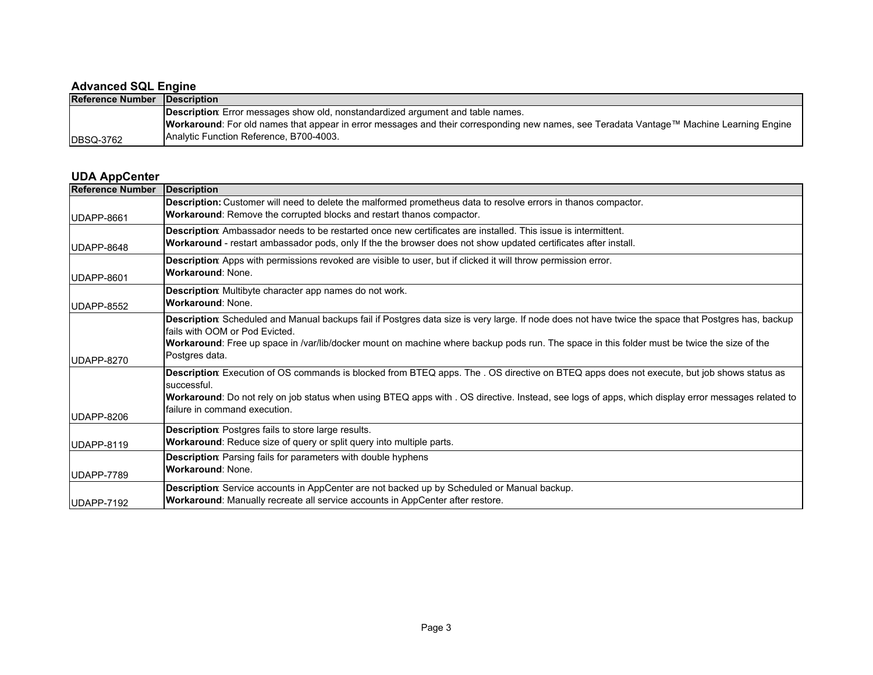### **Advanced SQL Engine**

| <b>Reference Number Description</b> |                                                                                                                                                  |
|-------------------------------------|--------------------------------------------------------------------------------------------------------------------------------------------------|
|                                     | <b>Description:</b> Error messages show old, nonstandardized argument and table names.                                                           |
|                                     | <b>Workaround</b> : For old names that appear in error messages and their corresponding new names, see Teradata Vantage™ Machine Learning Engine |
| <b>DBSQ-3762</b>                    | <b>Analytic Function Reference, B700-4003.</b>                                                                                                   |

#### **UDA AppCenter**

| <b>Reference Number</b> | Description                                                                                                                                               |
|-------------------------|-----------------------------------------------------------------------------------------------------------------------------------------------------------|
|                         | Description: Customer will need to delete the malformed prometheus data to resolve errors in thanos compactor.                                            |
| UDAPP-8661              | Workaround: Remove the corrupted blocks and restart thanos compactor.                                                                                     |
|                         | Description: Ambassador needs to be restarted once new certificates are installed. This issue is intermittent.                                            |
| UDAPP-8648              | <b>Workaround</b> - restart ambassador pods, only If the the browser does not show updated certificates after install.                                    |
|                         | Description: Apps with permissions revoked are visible to user, but if clicked it will throw permission error.                                            |
| UDAPP-8601              | <b>Workaround: None.</b>                                                                                                                                  |
|                         | Description: Multibyte character app names do not work.                                                                                                   |
| UDAPP-8552              | <b>Workaround: None.</b>                                                                                                                                  |
|                         | Description: Scheduled and Manual backups fail if Postgres data size is very large. If node does not have twice the space that Postgres has, backup       |
|                         | Ifails with OOM or Pod Evicted.                                                                                                                           |
|                         | Workaround: Free up space in /var/lib/docker mount on machine where backup pods run. The space in this folder must be twice the size of the               |
| UDAPP-8270              | Postgres data.                                                                                                                                            |
|                         | Description: Execution of OS commands is blocked from BTEQ apps. The . OS directive on BTEQ apps does not execute, but job shows status as<br>successful. |
|                         | Workaround: Do not rely on job status when using BTEQ apps with . OS directive. Instead, see logs of apps, which display error messages related to        |
| UDAPP-8206              | failure in command execution.                                                                                                                             |
|                         | <b>Description:</b> Postgres fails to store large results.                                                                                                |
| UDAPP-8119              | Workaround: Reduce size of query or split query into multiple parts.                                                                                      |
|                         | <b>Description:</b> Parsing fails for parameters with double hyphens                                                                                      |
| UDAPP-7789              | <b>Workaround: None.</b>                                                                                                                                  |
|                         | Description: Service accounts in AppCenter are not backed up by Scheduled or Manual backup.                                                               |
| UDAPP-7192              | Workaround: Manually recreate all service accounts in AppCenter after restore.                                                                            |